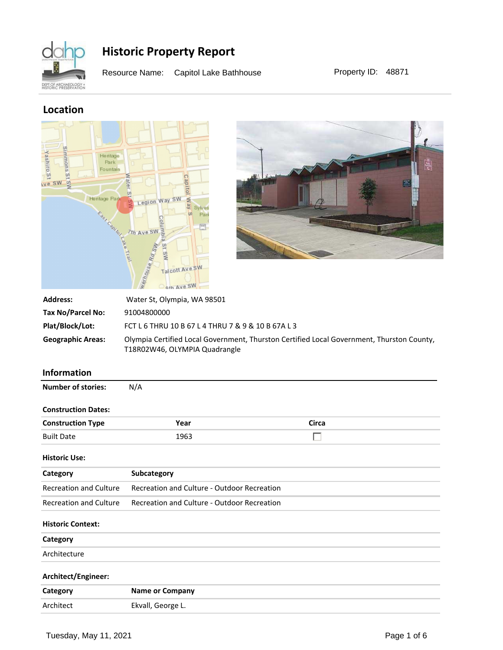

Resource Name: Capitol Lake Bathhouse Property ID: 48871

### **Location**





| <b>Address:</b>          | Water St, Olympia, WA 98501                                                                                                |
|--------------------------|----------------------------------------------------------------------------------------------------------------------------|
| Tax No/Parcel No:        | 91004800000                                                                                                                |
| Plat/Block/Lot:          | FCT L 6 THRU 10 B 67 L 4 THRU 7 & 9 & 10 B 67A L 3                                                                         |
| <b>Geographic Areas:</b> | Olympia Certified Local Government, Thurston Certified Local Government, Thurston County,<br>T18R02W46, OLYMPIA Quadrangle |

#### **Information**

| <b>Number of stories:</b>     | N/A                                                |              |  |
|-------------------------------|----------------------------------------------------|--------------|--|
| <b>Construction Dates:</b>    |                                                    |              |  |
| <b>Construction Type</b>      | Year                                               | <b>Circa</b> |  |
| <b>Built Date</b>             | 1963                                               | г            |  |
| <b>Historic Use:</b>          |                                                    |              |  |
| Category                      | Subcategory                                        |              |  |
| <b>Recreation and Culture</b> | <b>Recreation and Culture - Outdoor Recreation</b> |              |  |
| <b>Recreation and Culture</b> | <b>Recreation and Culture - Outdoor Recreation</b> |              |  |
| <b>Historic Context:</b>      |                                                    |              |  |
| Category                      |                                                    |              |  |
| Architecture                  |                                                    |              |  |
| Architect/Engineer:           |                                                    |              |  |
| Category                      | <b>Name or Company</b>                             |              |  |
| Architect                     | Ekvall, George L.                                  |              |  |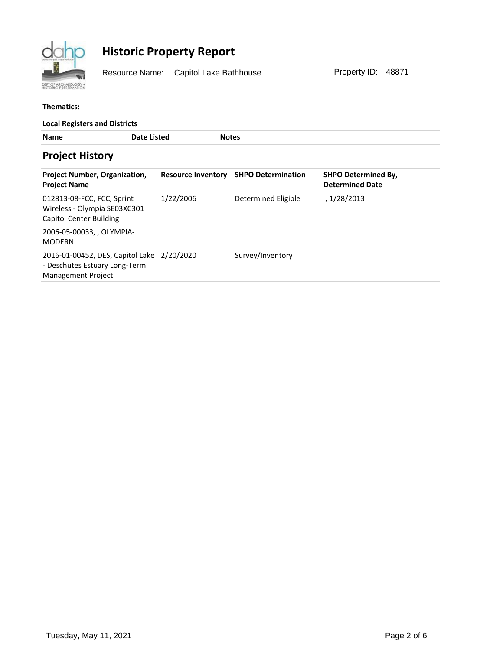

Resource Name: Capitol Lake Bathhouse Property ID: 48871

#### **Thematics:**

| <b>Local Registers and Districts</b>                                                                     |                           |                           |                                                      |  |  |  |
|----------------------------------------------------------------------------------------------------------|---------------------------|---------------------------|------------------------------------------------------|--|--|--|
| <b>Name</b>                                                                                              | Date Listed               | <b>Notes</b>              |                                                      |  |  |  |
| <b>Project History</b>                                                                                   |                           |                           |                                                      |  |  |  |
| <b>Project Number, Organization,</b><br><b>Project Name</b>                                              | <b>Resource Inventory</b> | <b>SHPO Determination</b> | <b>SHPO Determined By,</b><br><b>Determined Date</b> |  |  |  |
| 012813-08-FCC, FCC, Sprint<br>Wireless - Olympia SE03XC301<br><b>Capitol Center Building</b>             | 1/22/2006                 | Determined Eligible       | , 1/28/2013                                          |  |  |  |
| 2006-05-00033, , OLYMPIA-<br><b>MODERN</b>                                                               |                           |                           |                                                      |  |  |  |
| 2016-01-00452, DES, Capitol Lake 2/20/2020<br>- Deschutes Estuary Long-Term<br><b>Management Project</b> |                           | Survey/Inventory          |                                                      |  |  |  |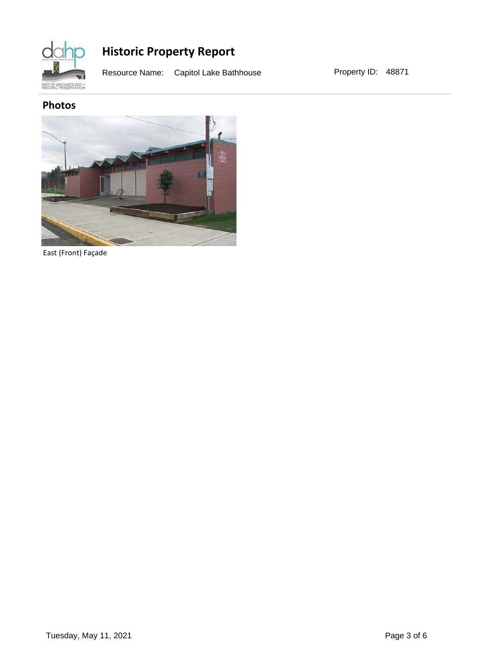

Resource Name: Capitol Lake Bathhouse Property ID: 48871

### **Photos**



East (Front) Façade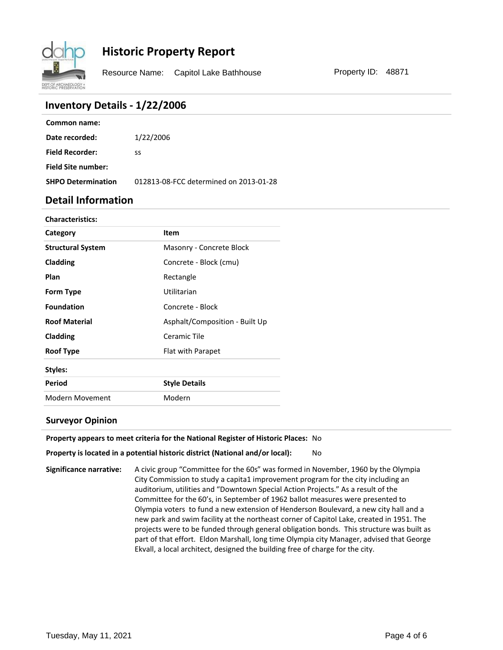

Resource Name: Capitol Lake Bathhouse Property ID: 48871

#### **Inventory Details - 1/22/2006**

| Common name:              |                                        |
|---------------------------|----------------------------------------|
| Date recorded:            | 1/22/2006                              |
| <b>Field Recorder:</b>    | SS                                     |
| <b>Field Site number:</b> |                                        |
| <b>SHPO Determination</b> | 012813-08-FCC determined on 2013-01-28 |

#### **Detail Information**

| <b>Characteristics:</b>  |                                |
|--------------------------|--------------------------------|
| Category                 | <b>Item</b>                    |
| <b>Structural System</b> | Masonry - Concrete Block       |
| Cladding                 | Concrete - Block (cmu)         |
| Plan                     | Rectangle                      |
| Form Type                | Utilitarian                    |
| <b>Foundation</b>        | Concrete - Block               |
| <b>Roof Material</b>     | Asphalt/Composition - Built Up |
| Cladding                 | Ceramic Tile                   |
| <b>Roof Type</b>         | Flat with Parapet              |
| Styles:                  |                                |
| Period                   | <b>Style Details</b>           |
| Modern Movement          | Modern                         |

#### **Surveyor Opinion**

**Property appears to meet criteria for the National Register of Historic Places:** No

#### **Property is located in a potential historic district (National and/or local):** No

**Significance narrative:** A civic group "Committee for the 60s" was formed in November, 1960 by the Olympia City Commission to study a capita1 improvement program for the city including an auditorium, utilities and "Downtown Special Action Projects." As a result of the Committee for the 60's, in September of 1962 ballot measures were presented to Olympia voters to fund a new extension of Henderson Boulevard, a new city hall and a new park and swim facility at the northeast corner of Capitol Lake, created in 1951. The projects were to be funded through general obligation bonds. This structure was built as part of that effort. Eldon Marshall, long time Olympia city Manager, advised that George Ekvall, a local architect, designed the building free of charge for the city.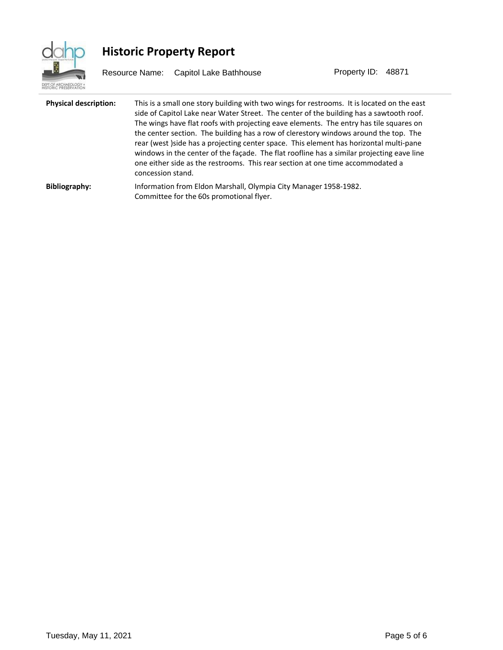

Resource Name: Capitol Lake Bathhouse Property ID: 48871

| <b>Physical description:</b> | This is a small one story building with two wings for restrooms. It is located on the east<br>side of Capitol Lake near Water Street. The center of the building has a sawtooth roof.<br>The wings have flat roofs with projecting eave elements. The entry has tile squares on<br>the center section. The building has a row of clerestory windows around the top. The<br>rear (west) side has a projecting center space. This element has horizontal multi-pane<br>windows in the center of the façade. The flat roofline has a similar projecting eave line<br>one either side as the restrooms. This rear section at one time accommodated a<br>concession stand. |
|------------------------------|-----------------------------------------------------------------------------------------------------------------------------------------------------------------------------------------------------------------------------------------------------------------------------------------------------------------------------------------------------------------------------------------------------------------------------------------------------------------------------------------------------------------------------------------------------------------------------------------------------------------------------------------------------------------------|
| <b>Bibliography:</b>         | Information from Eldon Marshall, Olympia City Manager 1958-1982.<br>Committee for the 60s promotional flyer.                                                                                                                                                                                                                                                                                                                                                                                                                                                                                                                                                          |